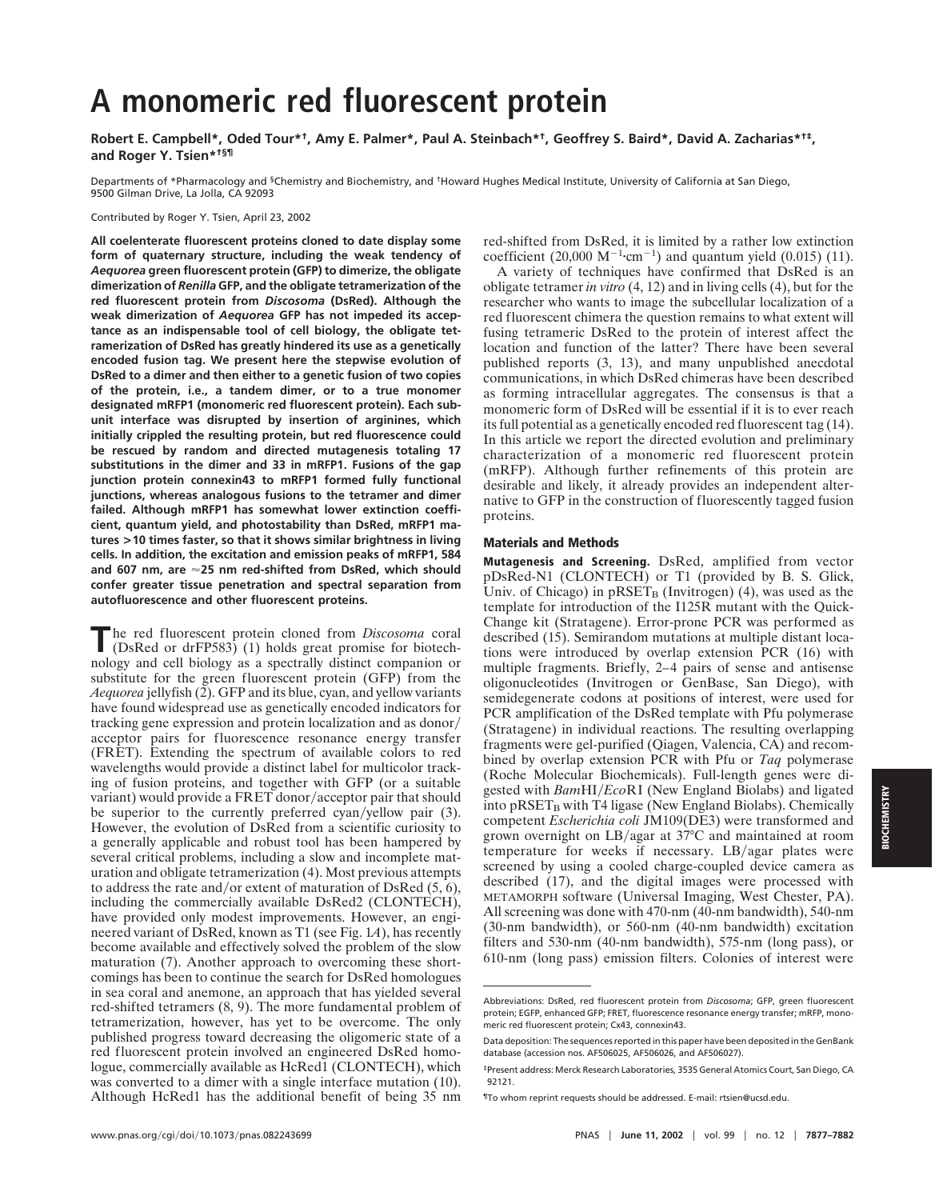# **A monomeric red fluorescent protein**

**Robert E. Campbell\*, Oded Tour\*†, Amy E. Palmer\*, Paul A. Steinbach\*†, Geoffrey S. Baird\*, David A. Zacharias\*†‡, and Roger Y. Tsien\*†§¶**

Departments of \*Pharmacology and <sup>§</sup>Chemistry and Biochemistry, and <sup>†</sup>Howard Hughes Medical Institute, University of California at San Diego, 9500 Gilman Drive, La Jolla, CA 92093

Contributed by Roger Y. Tsien, April 23, 2002

**All coelenterate fluorescent proteins cloned to date display some form of quaternary structure, including the weak tendency of** *Aequorea* **green fluorescent protein (GFP) to dimerize, the obligate dimerization of** *Renilla* **GFP, and the obligate tetramerization of the red fluorescent protein from** *Discosoma* **(DsRed). Although the weak dimerization of** *Aequorea* **GFP has not impeded its acceptance as an indispensable tool of cell biology, the obligate tetramerization of DsRed has greatly hindered its use as a genetically encoded fusion tag. We present here the stepwise evolution of DsRed to a dimer and then either to a genetic fusion of two copies of the protein, i.e., a tandem dimer, or to a true monomer designated mRFP1 (monomeric red fluorescent protein). Each subunit interface was disrupted by insertion of arginines, which initially crippled the resulting protein, but red fluorescence could be rescued by random and directed mutagenesis totaling 17 substitutions in the dimer and 33 in mRFP1. Fusions of the gap junction protein connexin43 to mRFP1 formed fully functional junctions, whereas analogous fusions to the tetramer and dimer failed. Although mRFP1 has somewhat lower extinction coefficient, quantum yield, and photostability than DsRed, mRFP1 matures >10 times faster, so that it shows similar brightness in living cells. In addition, the excitation and emission peaks of mRFP1, 584 and 607 nm, are 25 nm red-shifted from DsRed, which should confer greater tissue penetration and spectral separation from autofluorescence and other fluorescent proteins.**

The red fluorescent protein cloned from *Discosoma* coral (DsRed or drFP583) (1) holds great promise for biotechnology and cell biology as a spectrally distinct companion or substitute for the green fluorescent protein (GFP) from the *Aequorea* jellyfish (2). GFP and its blue, cyan, and yellow variants have found widespread use as genetically encoded indicators for tracking gene expression and protein localization and as donor acceptor pairs for fluorescence resonance energy transfer (FRET). Extending the spectrum of available colors to red wavelengths would provide a distinct label for multicolor tracking of fusion proteins, and together with GFP (or a suitable variant) would provide a FRET donor/acceptor pair that should be superior to the currently preferred cyan/yellow pair (3). However, the evolution of DsRed from a scientific curiosity to a generally applicable and robust tool has been hampered by several critical problems, including a slow and incomplete maturation and obligate tetramerization (4). Most previous attempts to address the rate and/or extent of maturation of DsRed  $(5, 6)$ , including the commercially available DsRed2 (CLONTECH), have provided only modest improvements. However, an engineered variant of DsRed, known as T1 (see Fig. 1*A*), has recently become available and effectively solved the problem of the slow maturation (7). Another approach to overcoming these shortcomings has been to continue the search for DsRed homologues in sea coral and anemone, an approach that has yielded several red-shifted tetramers (8, 9). The more fundamental problem of tetramerization, however, has yet to be overcome. The only published progress toward decreasing the oligomeric state of a red fluorescent protein involved an engineered DsRed homologue, commercially available as HcRed1 (CLONTECH), which was converted to a dimer with a single interface mutation  $(10)$ . Although HcRed1 has the additional benefit of being 35 nm red-shifted from DsRed, it is limited by a rather low extinction coefficient (20,000  $M^{-1}$ ·cm<sup>-1</sup>) and quantum yield (0.015) (11).

A variety of techniques have confirmed that DsRed is an obligate tetramer *in vitro* (4, 12) and in living cells (4), but for the researcher who wants to image the subcellular localization of a red fluorescent chimera the question remains to what extent will fusing tetrameric DsRed to the protein of interest affect the location and function of the latter? There have been several published reports (3, 13), and many unpublished anecdotal communications, in which DsRed chimeras have been described as forming intracellular aggregates. The consensus is that a monomeric form of DsRed will be essential if it is to ever reach its full potential as a genetically encoded red fluorescent tag (14). In this article we report the directed evolution and preliminary characterization of a monomeric red fluorescent protein (mRFP). Although further refinements of this protein are desirable and likely, it already provides an independent alternative to GFP in the construction of fluorescently tagged fusion proteins.

#### **Materials and Methods**

**Mutagenesis and Screening.** DsRed, amplified from vector pDsRed-N1 (CLONTECH) or T1 (provided by B. S. Glick, Univ. of Chicago) in  $pRSET_B$  (Invitrogen) (4), was used as the template for introduction of the I125R mutant with the Quick-Change kit (Stratagene). Error-prone PCR was performed as described (15). Semirandom mutations at multiple distant locations were introduced by overlap extension PCR (16) with multiple fragments. Briefly, 2–4 pairs of sense and antisense oligonucleotides (Invitrogen or GenBase, San Diego), with semidegenerate codons at positions of interest, were used for PCR amplification of the DsRed template with Pfu polymerase (Stratagene) in individual reactions. The resulting overlapping fragments were gel-purified (Qiagen, Valencia, CA) and recombined by overlap extension PCR with Pfu or *Taq* polymerase (Roche Molecular Biochemicals). Full-length genes were digested with *Bam*HI*Eco*RI (New England Biolabs) and ligated into  $pRSET_B$  with T4 ligase (New England Biolabs). Chemically competent *Escherichia coli* JM109(DE3) were transformed and grown overnight on LB/agar at  $37^{\circ}$ C and maintained at room temperature for weeks if necessary.  $LB/agar$  plates were screened by using a cooled charge-coupled device camera as described (17), and the digital images were processed with METAMORPH software (Universal Imaging, West Chester, PA). All screening was done with 470-nm (40-nm bandwidth), 540-nm (30-nm bandwidth), or 560-nm (40-nm bandwidth) excitation filters and 530-nm (40-nm bandwidth), 575-nm (long pass), or 610-nm (long pass) emission filters. Colonies of interest were

Abbreviations: DsRed, red fluorescent protein from *Discosoma*; GFP, green fluorescent protein; EGFP, enhanced GFP; FRET, fluorescence resonance energy transfer; mRFP, monomeric red fluorescent protein; Cx43, connexin43.

Data deposition: The sequences reported in this paper have been deposited in the GenBank database (accession nos. AF506025, AF506026, and AF506027).

<sup>‡</sup>Present address: Merck Research Laboratories, 3535 General Atomics Court, San Diego, CA 92121.

<sup>¶</sup>To whom reprint requests should be addressed. E-mail: rtsien@ucsd.edu.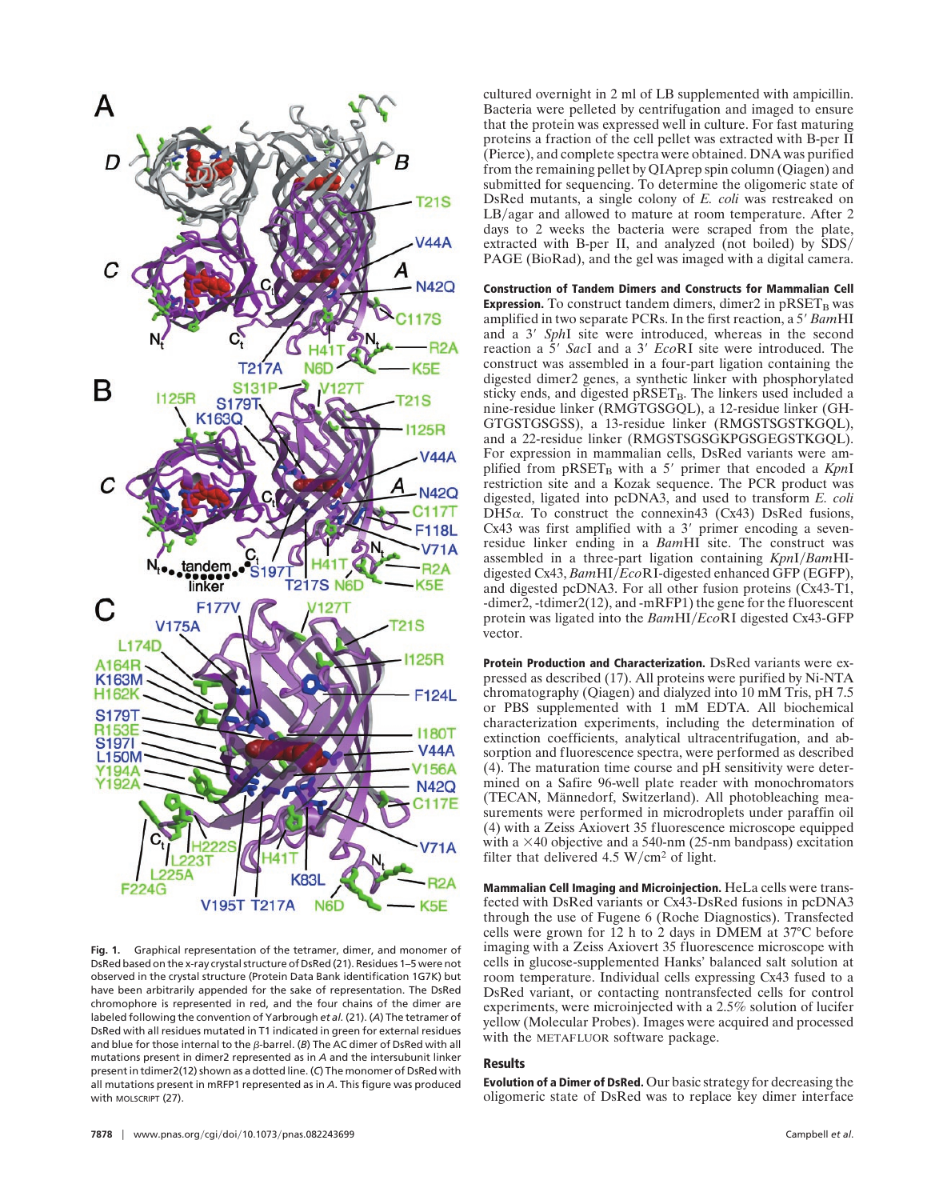

**Fig. 1.** Graphical representation of the tetramer, dimer, and monomer of DsRed based on the x-ray crystal structure of DsRed (21). Residues 1–5 were not observed in the crystal structure (Protein Data Bank identification 1G7K) but have been arbitrarily appended for the sake of representation. The DsRed chromophore is represented in red, and the four chains of the dimer are labeled following the convention of Yarbrough *et al.* (21). (*A*) The tetramer of DsRed with all residues mutated in T1 indicated in green for external residues and blue for those internal to the  $\beta$ -barrel. (*B*) The AC dimer of DsRed with all mutations present in dimer2 represented as in *A* and the intersubunit linker present in tdimer2(12) shown as a dotted line. (*C*) The monomer of DsRed with all mutations present in mRFP1 represented as in *A*. This figure was produced with MOLSCRIPT (27).

cultured overnight in 2 ml of LB supplemented with ampicillin. Bacteria were pelleted by centrifugation and imaged to ensure that the protein was expressed well in culture. For fast maturing proteins a fraction of the cell pellet was extracted with B-per II (Pierce), and complete spectra were obtained. DNA was purified from the remaining pellet by QIAprep spin column (Qiagen) and submitted for sequencing. To determine the oligomeric state of DsRed mutants, a single colony of *E. coli* was restreaked on  $LB/agar$  and allowed to mature at room temperature. After 2 days to 2 weeks the bacteria were scraped from the plate, extracted with B-per II, and analyzed (not boiled) by  $SDS/$ PAGE (BioRad), and the gel was imaged with a digital camera.

**Construction of Tandem Dimers and Constructs for Mammalian Cell Expression.** To construct tandem dimers, dimer $2$  in  $pRSET<sub>B</sub>$  was amplified in two separate PCRs. In the first reaction, a 5' BamHI and a 3' SphI site were introduced, whereas in the second reaction a  $\overline{5}$ ' *SacI* and a 3' *EcoRI* site were introduced. The construct was assembled in a four-part ligation containing the digested dimer2 genes, a synthetic linker with phosphorylated sticky ends, and digested pRSET<sub>B</sub>. The linkers used included a nine-residue linker (RMGTGSGQL), a 12-residue linker (GH-GTGSTGSGSS), a 13-residue linker (RMGSTSGSTKGQL), and a 22-residue linker (RMGSTSGSGKPGSGEGSTKGQL). For expression in mammalian cells, DsRed variants were amplified from pRSET<sub>B</sub> with a 5' primer that encoded a *KpnI* restriction site and a Kozak sequence. The PCR product was digested, ligated into pcDNA3, and used to transform *E. coli*  $D<sup>H5</sup>\alpha$ . To construct the connexin43 (Cx43) DsRed fusions, Cx43 was first amplified with a  $3'$  primer encoding a sevenresidue linker ending in a *Bam*HI site. The construct was assembled in a three-part ligation containing *KpnI/BamHI*digested Cx43, *BamHI*/*EcoRI*-digested enhanced GFP (EGFP), and digested pcDNA3. For all other fusion proteins (Cx43-T1, -dimer2, -tdimer2(12), and -mRFP1) the gene for the fluorescent protein was ligated into the *BamHI/EcoRI* digested Cx43-GFP vector.

**Protein Production and Characterization.** DsRed variants were expressed as described (17). All proteins were purified by Ni-NTA chromatography (Qiagen) and dialyzed into 10 mM Tris, pH 7.5 or PBS supplemented with 1 mM EDTA. All biochemical characterization experiments, including the determination of extinction coefficients, analytical ultracentrifugation, and absorption and fluorescence spectra, were performed as described (4). The maturation time course and pH sensitivity were determined on a Safire 96-well plate reader with monochromators (TECAN, Männedorf, Switzerland). All photobleaching measurements were performed in microdroplets under paraffin oil (4) with a Zeiss Axiovert 35 fluorescence microscope equipped with a  $\times$ 40 objective and a 540-nm (25-nm bandpass) excitation filter that delivered 4.5  $W/cm<sup>2</sup>$  of light.

**Mammalian Cell Imaging and Microinjection.** HeLa cells were transfected with DsRed variants or Cx43-DsRed fusions in pcDNA3 through the use of Fugene 6 (Roche Diagnostics). Transfected cells were grown for 12 h to 2 days in DMEM at 37°C before imaging with a Zeiss Axiovert 35 fluorescence microscope with cells in glucose-supplemented Hanks' balanced salt solution at room temperature. Individual cells expressing Cx43 fused to a DsRed variant, or contacting nontransfected cells for control experiments, were microinjected with a 2.5% solution of lucifer yellow (Molecular Probes). Images were acquired and processed with the METAFLUOR software package.

### **Results**

**Evolution of a Dimer of DsRed.** Our basic strategy for decreasing the oligomeric state of DsRed was to replace key dimer interface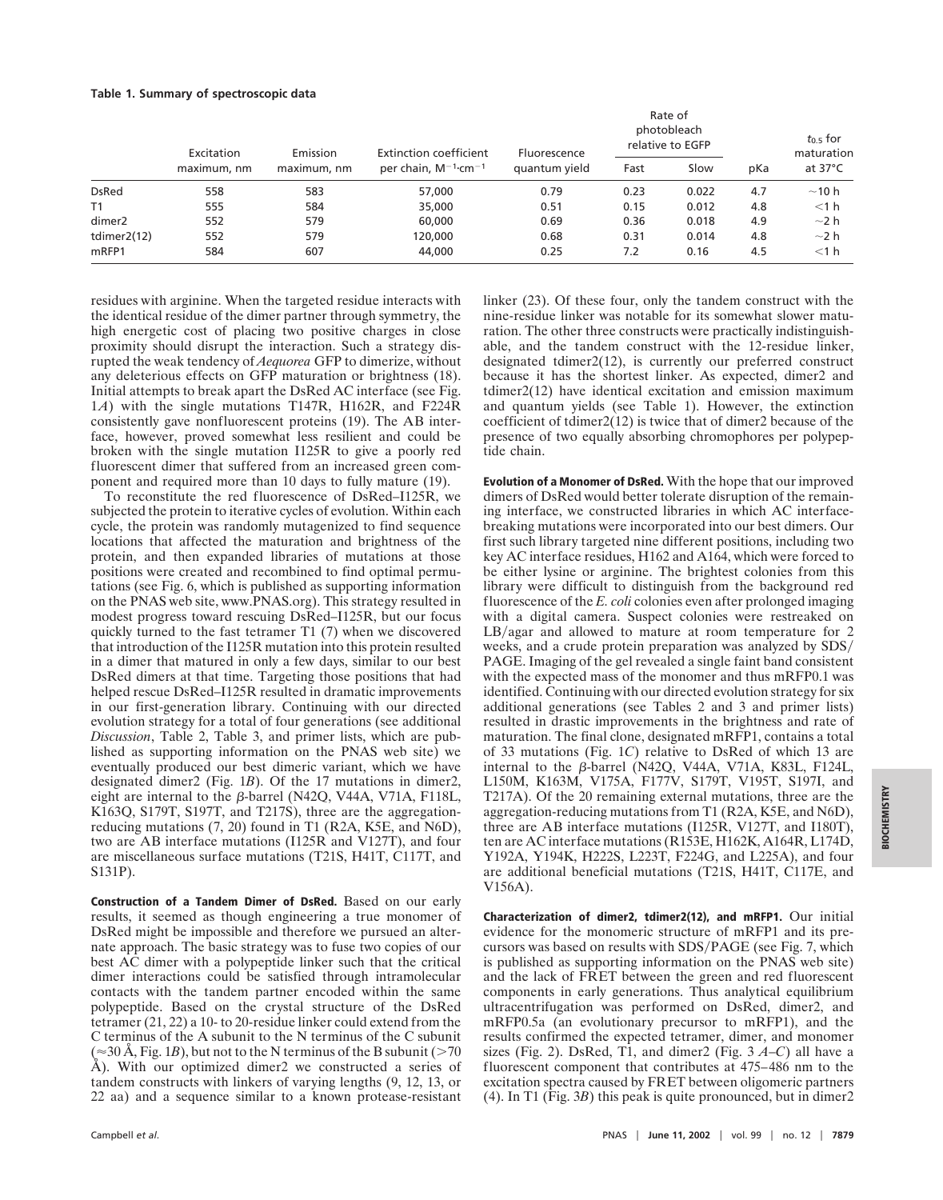#### **Table 1. Summary of spectroscopic data**

|                    | Excitation<br>maximum, nm | Emission<br>maximum, nm | Extinction coefficient<br>per chain, $M^{-1}$ ·cm <sup>-1</sup> | Fluorescence<br>quantum yield | Rate of<br>photobleach<br>relative to EGFP |       |     | $t_{0.5}$ for<br>maturation |
|--------------------|---------------------------|-------------------------|-----------------------------------------------------------------|-------------------------------|--------------------------------------------|-------|-----|-----------------------------|
|                    |                           |                         |                                                                 |                               | Fast                                       | Slow  | pKa | at $37^{\circ}$ C           |
| <b>DsRed</b>       | 558                       | 583                     | 57,000                                                          | 0.79                          | 0.23                                       | 0.022 | 4.7 | $\sim$ 10 h                 |
| T1                 | 555                       | 584                     | 35,000                                                          | 0.51                          | 0.15                                       | 0.012 | 4.8 | $<$ 1 h                     |
| dimer <sub>2</sub> | 552                       | 579                     | 60,000                                                          | 0.69                          | 0.36                                       | 0.018 | 4.9 | $\sim$ 2 h                  |
| tdimer2(12)        | 552                       | 579                     | 120,000                                                         | 0.68                          | 0.31                                       | 0.014 | 4.8 | $\sim$ 2 h                  |
| mRFP1              | 584                       | 607                     | 44,000                                                          | 0.25                          | 7.2                                        | 0.16  | 4.5 | $<$ 1 h                     |

residues with arginine. When the targeted residue interacts with the identical residue of the dimer partner through symmetry, the high energetic cost of placing two positive charges in close proximity should disrupt the interaction. Such a strategy disrupted the weak tendency of *Aequorea* GFP to dimerize, without any deleterious effects on GFP maturation or brightness (18). Initial attempts to break apart the DsRed AC interface (see Fig. 1*A*) with the single mutations T147R, H162R, and F224R consistently gave nonfluorescent proteins (19). The AB interface, however, proved somewhat less resilient and could be broken with the single mutation I125R to give a poorly red fluorescent dimer that suffered from an increased green component and required more than 10 days to fully mature (19).

To reconstitute the red fluorescence of DsRed–I125R, we subjected the protein to iterative cycles of evolution. Within each cycle, the protein was randomly mutagenized to find sequence locations that affected the maturation and brightness of the protein, and then expanded libraries of mutations at those positions were created and recombined to find optimal permutations (see Fig. 6, which is published as supporting information on the PNAS web site, www.PNAS.org). This strategy resulted in modest progress toward rescuing DsRed–I125R, but our focus quickly turned to the fast tetramer T1 (7) when we discovered that introduction of the I125R mutation into this protein resulted in a dimer that matured in only a few days, similar to our best DsRed dimers at that time. Targeting those positions that had helped rescue DsRed–I125R resulted in dramatic improvements in our first-generation library. Continuing with our directed evolution strategy for a total of four generations (see additional *Discussion*, Table 2, Table 3, and primer lists, which are published as supporting information on the PNAS web site) we eventually produced our best dimeric variant, which we have designated dimer2 (Fig. 1*B*). Of the 17 mutations in dimer2, eight are internal to the  $\beta$ -barrel (N42Q, V44A, V71A, F118L, K163Q, S179T, S197T, and T217S), three are the aggregationreducing mutations (7, 20) found in T1 (R2A, K5E, and N6D), two are AB interface mutations (I125R and V127T), and four are miscellaneous surface mutations (T21S, H41T, C117T, and S131P).

**Construction of a Tandem Dimer of DsRed.** Based on our early results, it seemed as though engineering a true monomer of DsRed might be impossible and therefore we pursued an alternate approach. The basic strategy was to fuse two copies of our best AC dimer with a polypeptide linker such that the critical dimer interactions could be satisfied through intramolecular contacts with the tandem partner encoded within the same polypeptide. Based on the crystal structure of the DsRed tetramer (21, 22) a 10- to 20-residue linker could extend from the C terminus of the A subunit to the N terminus of the C subunit  $(\approx 30 \text{ Å}, \text{Fig. 1B})$ , but not to the N terminus of the B subunit ( $>70$ ) Å). With our optimized dimer2 we constructed a series of tandem constructs with linkers of varying lengths (9, 12, 13, or 22 aa) and a sequence similar to a known protease-resistant

linker (23). Of these four, only the tandem construct with the nine-residue linker was notable for its somewhat slower maturation. The other three constructs were practically indistinguishable, and the tandem construct with the 12-residue linker, designated tdimer2(12), is currently our preferred construct because it has the shortest linker. As expected, dimer2 and tdimer2(12) have identical excitation and emission maximum and quantum yields (see Table 1). However, the extinction coefficient of tdimer2(12) is twice that of dimer2 because of the presence of two equally absorbing chromophores per polypeptide chain.

**Evolution of a Monomer of DsRed.** With the hope that our improved dimers of DsRed would better tolerate disruption of the remaining interface, we constructed libraries in which AC interfacebreaking mutations were incorporated into our best dimers. Our first such library targeted nine different positions, including two key AC interface residues, H162 and A164, which were forced to be either lysine or arginine. The brightest colonies from this library were difficult to distinguish from the background red fluorescence of the *E. coli* colonies even after prolonged imaging with a digital camera. Suspect colonies were restreaked on  $LB/agar$  and allowed to mature at room temperature for 2 weeks, and a crude protein preparation was analyzed by SDS PAGE. Imaging of the gel revealed a single faint band consistent with the expected mass of the monomer and thus mRFP0.1 was identified. Continuing with our directed evolution strategy for six additional generations (see Tables 2 and 3 and primer lists) resulted in drastic improvements in the brightness and rate of maturation. The final clone, designated mRFP1, contains a total of 33 mutations (Fig. 1*C*) relative to DsRed of which 13 are internal to the  $\beta$ -barrel (N42Q, V44A, V71A, K83L, F124L, L150M, K163M, V175A, F177V, S179T, V195T, S197I, and T217A). Of the 20 remaining external mutations, three are the aggregation-reducing mutations from T1 (R2A, K5E, and N6D), three are AB interface mutations (I125R, V127T, and I180T), ten are AC interface mutations (R153E, H162K, A164R, L174D, Y192A, Y194K, H222S, L223T, F224G, and L225A), and four are additional beneficial mutations (T21S, H41T, C117E, and V156A).

**Characterization of dimer2, tdimer2(12), and mRFP1.** Our initial evidence for the monomeric structure of mRFP1 and its precursors was based on results with SDS/PAGE (see Fig. 7, which is published as supporting information on the PNAS web site) and the lack of FRET between the green and red fluorescent components in early generations. Thus analytical equilibrium ultracentrifugation was performed on DsRed, dimer2, and mRFP0.5a (an evolutionary precursor to mRFP1), and the results confirmed the expected tetramer, dimer, and monomer sizes (Fig. 2). DsRed,  $T1$ , and dimer2 (Fig.  $3 \text{ } A-C$ ) all have a fluorescent component that contributes at 475–486 nm to the excitation spectra caused by FRET between oligomeric partners (4). In T1 (Fig. 3*B*) this peak is quite pronounced, but in dimer2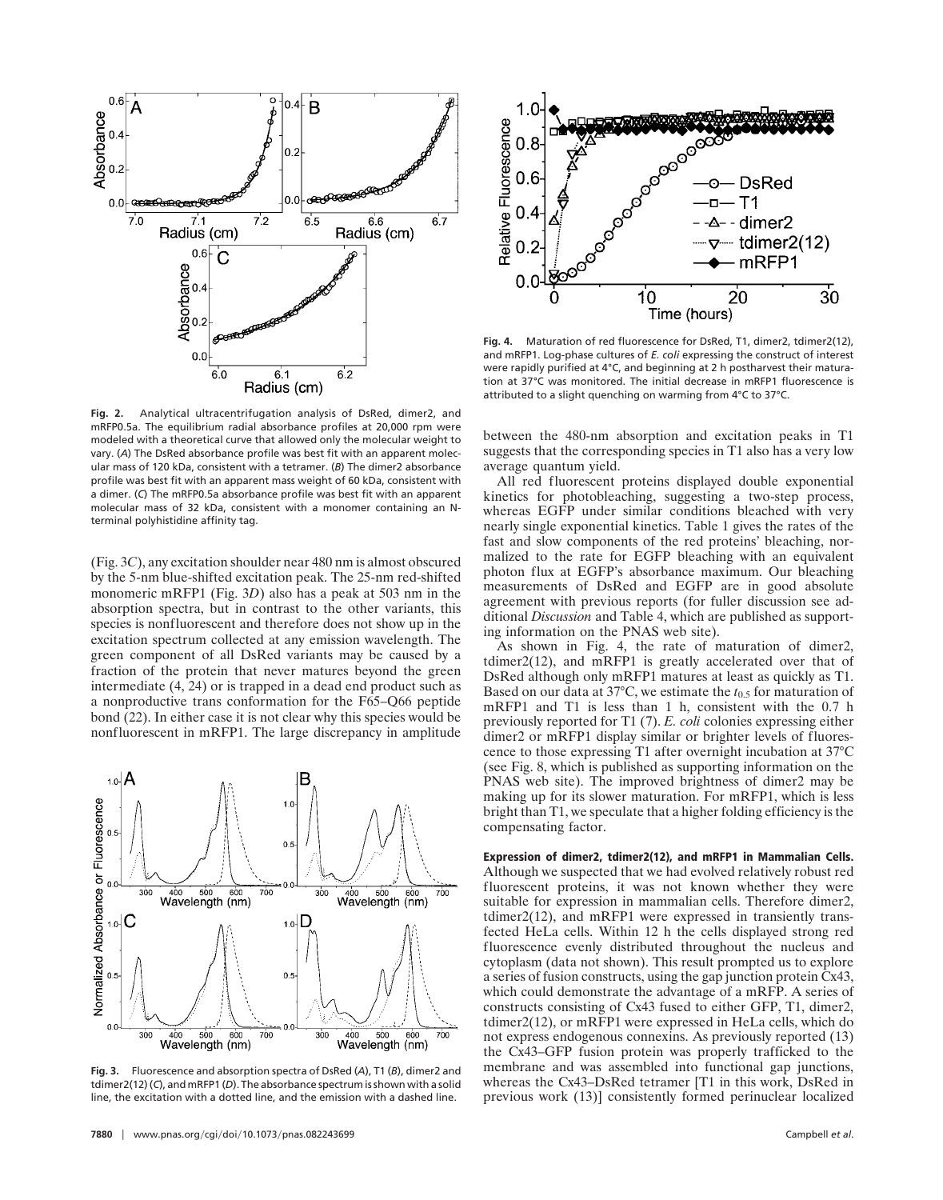

**Fig. 2.** Analytical ultracentrifugation analysis of DsRed, dimer2, and mRFP0.5a. The equilibrium radial absorbance profiles at 20,000 rpm were modeled with a theoretical curve that allowed only the molecular weight to vary. (*A*) The DsRed absorbance profile was best fit with an apparent molecular mass of 120 kDa, consistent with a tetramer. (*B*) The dimer2 absorbance profile was best fit with an apparent mass weight of 60 kDa, consistent with a dimer. (*C*) The mRFP0.5a absorbance profile was best fit with an apparent molecular mass of 32 kDa, consistent with a monomer containing an Nterminal polyhistidine affinity tag.

(Fig. 3*C*), any excitation shoulder near 480 nm is almost obscured by the 5-nm blue-shifted excitation peak. The 25-nm red-shifted monomeric mRFP1 (Fig. 3*D*) also has a peak at 503 nm in the absorption spectra, but in contrast to the other variants, this species is nonfluorescent and therefore does not show up in the excitation spectrum collected at any emission wavelength. The green component of all DsRed variants may be caused by a fraction of the protein that never matures beyond the green intermediate (4, 24) or is trapped in a dead end product such as a nonproductive trans conformation for the F65–Q66 peptide bond (22). In either case it is not clear why this species would be nonfluorescent in mRFP1. The large discrepancy in amplitude



**Fig. 3.** Fluorescence and absorption spectra of DsRed (*A*), T1 (*B*), dimer2 and tdimer2(12) (*C*), and mRFP1 (*D*). The absorbance spectrum is shown with a solid line, the excitation with a dotted line, and the emission with a dashed line.



Fig. 4. Maturation of red fluorescence for DsRed, T1, dimer2, tdimer2(12), and mRFP1. Log-phase cultures of *E. coli* expressing the construct of interest were rapidly purified at 4°C, and beginning at 2 h postharvest their maturation at 37°C was monitored. The initial decrease in mRFP1 fluorescence is attributed to a slight quenching on warming from 4°C to 37°C.

between the 480-nm absorption and excitation peaks in T1 suggests that the corresponding species in T1 also has a very low average quantum yield.

All red fluorescent proteins displayed double exponential kinetics for photobleaching, suggesting a two-step process, whereas EGFP under similar conditions bleached with very nearly single exponential kinetics. Table 1 gives the rates of the fast and slow components of the red proteins' bleaching, normalized to the rate for EGFP bleaching with an equivalent photon flux at EGFP's absorbance maximum. Our bleaching measurements of DsRed and EGFP are in good absolute agreement with previous reports (for fuller discussion see additional *Discussion* and Table 4, which are published as supporting information on the PNAS web site).

As shown in Fig. 4, the rate of maturation of dimer2, tdimer2(12), and mRFP1 is greatly accelerated over that of DsRed although only mRFP1 matures at least as quickly as T1. Based on our data at  $37^{\circ}$ C, we estimate the  $t_{0.5}$  for maturation of mRFP1 and T1 is less than 1 h, consistent with the 0.7 h previously reported for T1 (7). *E. coli* colonies expressing either dimer2 or mRFP1 display similar or brighter levels of fluorescence to those expressing T1 after overnight incubation at 37°C (see Fig. 8, which is published as supporting information on the PNAS web site). The improved brightness of dimer2 may be making up for its slower maturation. For mRFP1, which is less bright than T1, we speculate that a higher folding efficiency is the compensating factor.

**Expression of dimer2, tdimer2(12), and mRFP1 in Mammalian Cells.** Although we suspected that we had evolved relatively robust red fluorescent proteins, it was not known whether they were suitable for expression in mammalian cells. Therefore dimer2, tdimer2(12), and mRFP1 were expressed in transiently transfected HeLa cells. Within 12 h the cells displayed strong red fluorescence evenly distributed throughout the nucleus and cytoplasm (data not shown). This result prompted us to explore a series of fusion constructs, using the gap junction protein Cx43, which could demonstrate the advantage of a mRFP. A series of constructs consisting of Cx43 fused to either GFP, T1, dimer2, tdimer2(12), or mRFP1 were expressed in HeLa cells, which do not express endogenous connexins. As previously reported (13) the Cx43–GFP fusion protein was properly trafficked to the membrane and was assembled into functional gap junctions, whereas the Cx43–DsRed tetramer [T1 in this work, DsRed in previous work (13)] consistently formed perinuclear localized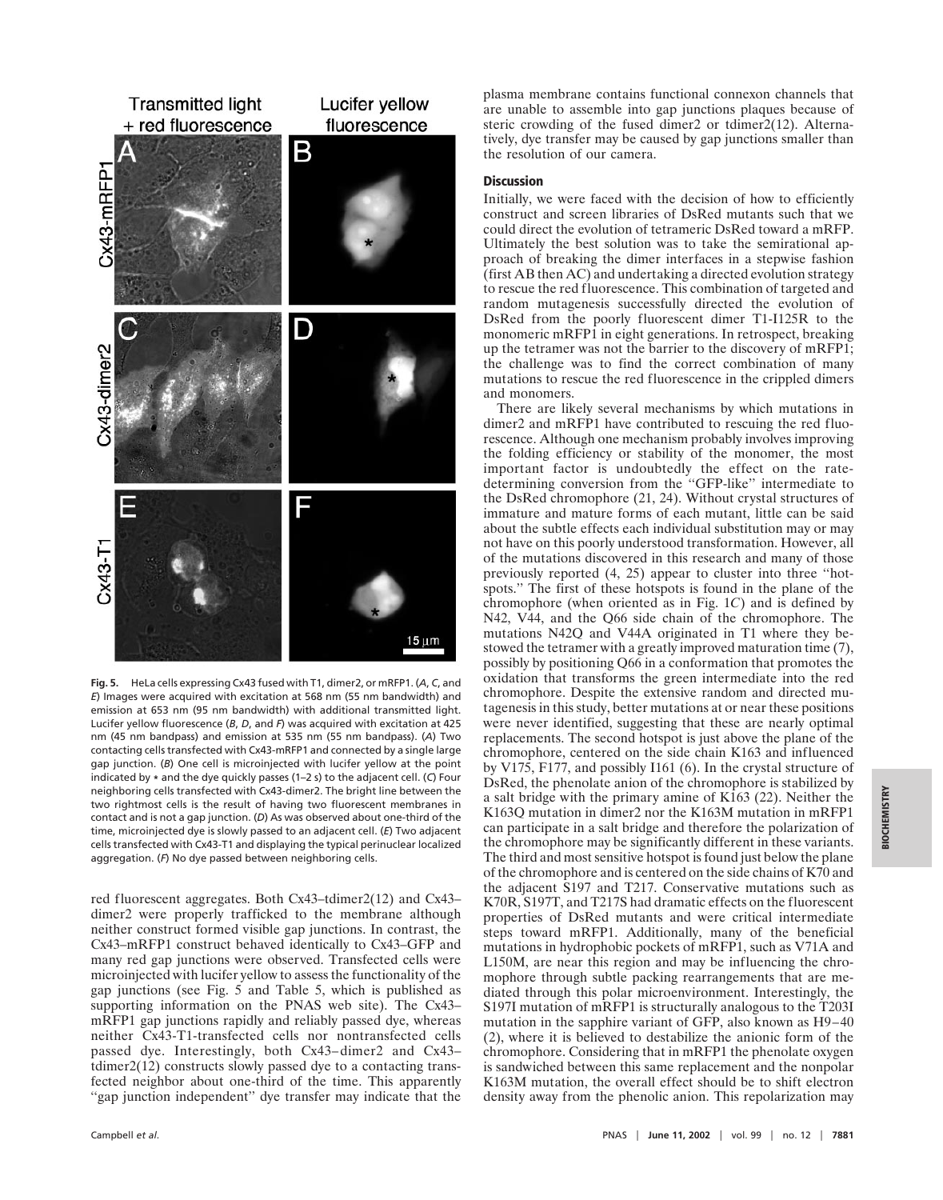

**Fig. 5.** HeLa cells expressing Cx43 fused with T1, dimer2, or mRFP1. (*A*, *C*, and *E*) Images were acquired with excitation at 568 nm (55 nm bandwidth) and emission at 653 nm (95 nm bandwidth) with additional transmitted light. Lucifer yellow fluorescence (*B*, *D*, and *F*) was acquired with excitation at 425 nm (45 nm bandpass) and emission at 535 nm (55 nm bandpass). (*A*) Two contacting cells transfected with Cx43-mRFP1 and connected by a single large gap junction. (*B*) One cell is microinjected with lucifer yellow at the point indicated by **\*** and the dye quickly passes (1–2 s) to the adjacent cell. (*C*) Four neighboring cells transfected with Cx43-dimer2. The bright line between the two rightmost cells is the result of having two fluorescent membranes in contact and is not a gap junction. (*D*) As was observed about one-third of the time, microinjected dye is slowly passed to an adjacent cell. (*E*) Two adjacent cells transfected with Cx43-T1 and displaying the typical perinuclear localized aggregation. (*F*) No dye passed between neighboring cells.

red fluorescent aggregates. Both Cx43–tdimer2(12) and Cx43– dimer2 were properly trafficked to the membrane although neither construct formed visible gap junctions. In contrast, the Cx43–mRFP1 construct behaved identically to Cx43–GFP and many red gap junctions were observed. Transfected cells were microinjected with lucifer yellow to assess the functionality of the gap junctions (see Fig. 5 and Table 5, which is published as supporting information on the PNAS web site). The Cx43– mRFP1 gap junctions rapidly and reliably passed dye, whereas neither Cx43-T1-transfected cells nor nontransfected cells passed dye. Interestingly, both Cx43–dimer2 and Cx43– tdimer2(12) constructs slowly passed dye to a contacting transfected neighbor about one-third of the time. This apparently "gap junction independent" dye transfer may indicate that the

Campbell *et al.* 

plasma membrane contains functional connexon channels that are unable to assemble into gap junctions plaques because of steric crowding of the fused dimer2 or tdimer2(12). Alternatively, dye transfer may be caused by gap junctions smaller than the resolution of our camera.

## **Discussion**

Initially, we were faced with the decision of how to efficiently construct and screen libraries of DsRed mutants such that we could direct the evolution of tetrameric DsRed toward a mRFP. Ultimately the best solution was to take the semirational approach of breaking the dimer interfaces in a stepwise fashion (first AB then AC) and undertaking a directed evolution strategy to rescue the red fluorescence. This combination of targeted and random mutagenesis successfully directed the evolution of DsRed from the poorly fluorescent dimer T1-I125R to the monomeric mRFP1 in eight generations. In retrospect, breaking up the tetramer was not the barrier to the discovery of mRFP1; the challenge was to find the correct combination of many mutations to rescue the red fluorescence in the crippled dimers and monomers.

There are likely several mechanisms by which mutations in dimer2 and mRFP1 have contributed to rescuing the red fluorescence. Although one mechanism probably involves improving the folding efficiency or stability of the monomer, the most important factor is undoubtedly the effect on the ratedetermining conversion from the ''GFP-like'' intermediate to the DsRed chromophore (21, 24). Without crystal structures of immature and mature forms of each mutant, little can be said about the subtle effects each individual substitution may or may not have on this poorly understood transformation. However, all of the mutations discovered in this research and many of those previously reported (4, 25) appear to cluster into three ''hotspots.'' The first of these hotspots is found in the plane of the chromophore (when oriented as in Fig. 1*C*) and is defined by N42, V44, and the Q66 side chain of the chromophore. The mutations N42Q and V44A originated in T1 where they bestowed the tetramer with a greatly improved maturation time (7), possibly by positioning Q66 in a conformation that promotes the oxidation that transforms the green intermediate into the red chromophore. Despite the extensive random and directed mutagenesis in this study, better mutations at or near these positions were never identified, suggesting that these are nearly optimal replacements. The second hotspot is just above the plane of the chromophore, centered on the side chain K163 and influenced by V175, F177, and possibly I161 (6). In the crystal structure of DsRed, the phenolate anion of the chromophore is stabilized by a salt bridge with the primary amine of K163 (22). Neither the K163Q mutation in dimer2 nor the K163M mutation in mRFP1 can participate in a salt bridge and therefore the polarization of the chromophore may be significantly different in these variants. The third and most sensitive hotspot is found just below the plane of the chromophore and is centered on the side chains of K70 and the adjacent S197 and T217. Conservative mutations such as K70R, S197T, and T217S had dramatic effects on the fluorescent properties of DsRed mutants and were critical intermediate steps toward mRFP1. Additionally, many of the beneficial mutations in hydrophobic pockets of mRFP1, such as V71A and L150M, are near this region and may be influencing the chromophore through subtle packing rearrangements that are mediated through this polar microenvironment. Interestingly, the S197I mutation of mRFP1 is structurally analogous to the T203I mutation in the sapphire variant of GFP, also known as H9–40 (2), where it is believed to destabilize the anionic form of the chromophore. Considering that in mRFP1 the phenolate oxygen is sandwiched between this same replacement and the nonpolar K163M mutation, the overall effect should be to shift electron density away from the phenolic anion. This repolarization may